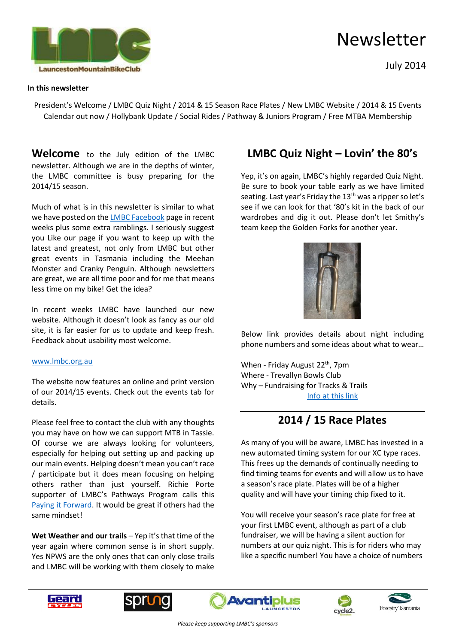

July 2014

#### **In this newsletter**

President's Welcome / LMBC Quiz Night / 2014 & 15 Season Race Plates / New LMBC Website / 2014 & 15 Events Calendar out now / Hollybank Update / Social Rides / Pathway & Juniors Program / Free MTBA Membership

**Welcome** to the July edition of the LMBC newsletter. Although we are in the depths of winter, the LMBC committee is busy preparing for the 2014/15 season.

Much of what is in this newsletter is similar to what we have posted on the [LMBC Facebook](https://www.facebook.com/pages/Launceston-Mountain-Bike-Club/114653972802) page in recent weeks plus some extra ramblings. I seriously suggest you Like our page if you want to keep up with the latest and greatest, not only from LMBC but other great events in Tasmania including the Meehan Monster and Cranky Penguin. Although newsletters are great, we are all time poor and for me that means less time on my bike! Get the idea?

In recent weeks LMBC have launched our new website. Although it doesn't look as fancy as our old site, it is far easier for us to update and keep fresh. Feedback about usability most welcome.

#### [www.lmbc.org.au](http://www.lmbc.org.au/)

The website now features an online and print version of our 2014/15 events. Check out the events tab for details.

Please feel free to contact the club with any thoughts you may have on how we can support MTB in Tassie. Of course we are always looking for volunteers, especially for helping out setting up and packing up our main events. Helping doesn't mean you can't race / participate but it does mean focusing on helping others rather than just yourself. Richie Porte supporter of LMBC's Pathways Program calls this [Paying it Forward.](http://cyclingtips.com.au/2014/02/richie-porte-paying-it-forward/) It would be great if others had the same mindset!

**Wet Weather and our trails** – Yep it's that time of the year again where common sense is in short supply. Yes NPWS are the only ones that can only close trails and LMBC will be working with them closely to make

## **LMBC Quiz Night – Lovin' the 80's**

Yep, it's on again, LMBC's highly regarded Quiz Night. Be sure to book your table early as we have limited seating. Last year's Friday the 13<sup>th</sup> was a ripper so let's see if we can look for that '80's kit in the back of our wardrobes and dig it out. Please don't let Smithy's team keep the Golden Forks for another year.



Below link provides details about night including phone numbers and some ideas about what to wear…

When - Friday August 22<sup>th</sup>, 7pm Where - Trevallyn Bowls Club Why – Fundraising for Tracks & Trails [Info at this link](http://www.launcestonmountainbikeclub.com/lmbc-quiz-night.html)

## **2014 / 15 Race Plates**

As many of you will be aware, LMBC has invested in a new automated timing system for our XC type races. This frees up the demands of continually needing to find timing teams for events and will allow us to have a season's race plate. Plates will be of a higher quality and will have your timing chip fixed to it.

You will receive your season's race plate for free at your first LMBC event, although as part of a club fundraiser, we will be having a silent auction for numbers at our quiz night. This is for riders who may like a specific number! You have a choice of numbers









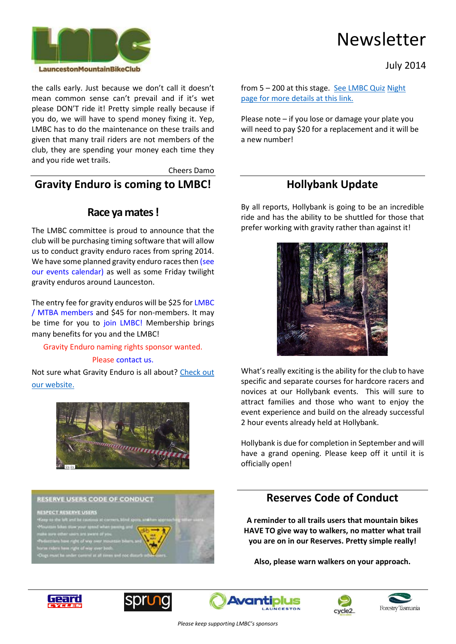

July 2014

the calls early. Just because we don't call it doesn't mean common sense can't prevail and if it's wet please DON'T ride it! Pretty simple really because if you do, we will have to spend money fixing it. Yep, LMBC has to do the maintenance on these trails and given that many trail riders are not members of the club, they are spending your money each time they and you ride wet trails.

Cheers Damo

### **Gravity Enduro is coming to LMBC!**

### **Race ya mates !**

The LMBC committee is proud to announce that the club will be purchasing timing software that will allow us to conduct gravity enduro races from spring 2014. We have some planned gravity enduro races then (see [our events calendar\)](http://www.launcestonmountainbikeclub.com/events.html) as well as some Friday twilight gravity enduros around Launceston.

The entry fee for gravity enduros will be \$25 for [LMBC](http://www.launcestonmountainbikeclub.com/join-lmbc.html)  [/ MTBA members](http://www.launcestonmountainbikeclub.com/join-lmbc.html) and \$45 for non-members. It may be time for you to [join LMBC!](http://www.launcestonmountainbikeclub.com/join-lmbc.html) Membership brings many benefits for you and the LMBC!

Gravity Enduro naming rights sponsor wanted.

#### Please [contact us.](http://www.launcestonmountainbikeclub.com/contact.html)

Not sure what Gravity Enduro is all about? Check out [our website.](http://www.launcestonmountainbikeclub.com/gravity-enduro.html)



**RESERVE USERS CODE OF CONDUCT** 

**ISPECT RESERVE USERS** 

will need to pay \$20 for a replacement and it will be a new number!

[page for more details at this link.](http://www.launcestonmountainbikeclub.com/lmbc-quiz-night.html)

from 5 – 200 at this stage. [See LMBC Quiz](http://www.launcestonmountainbikeclub.com/lmbc-quiz-night.html) [Night](http://www.launcestonmountainbikeclub.com/lmbc-quiz-night.html) 

Please note – if you lose or damage your plate you

## **Hollybank Update**

By all reports, Hollybank is going to be an incredible ride and has the ability to be shuttled for those that prefer working with gravity rather than against it!



What's really exciting is the ability for the club to have specific and separate courses for hardcore racers and novices at our Hollybank events. This will sure to attract families and those who want to enjoy the event experience and build on the already successful 2 hour events already held at Hollybank.

Hollybank is due for completion in September and will have a grand opening. Please keep off it until it is officially open!

## **Reserves Code of Conduct**

**A reminder to all trails users that mountain bikes HAVE TO give way to walkers, no matter what trail you are on in our Reserves. Pretty simple really!**

**Also, please warn walkers on your approach.** 









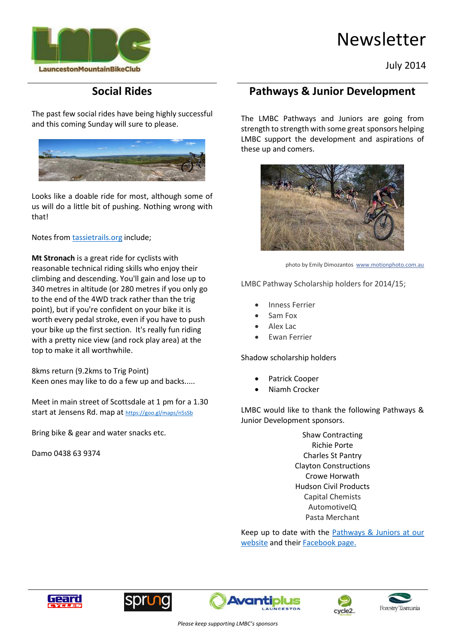

#### July 2014

# **Social Rides**

The past few social rides have being highly successful and this coming Sunday will sure to please.



Looks like a doable ride for most, although some of us will do a little bit of pushing. Nothing wrong with that!

Notes fro[m tassietrails.org](http://www.tassietrails.org/) include;

**Mt Stronach** is a great ride for cyclists with reasonable technical riding skills who enjoy their climbing and descending. You'll gain and lose up to 340 metres in altitude (or 280 metres if you only go to the end of the 4WD track rather than the trig point), but if you're confident on your bike it is worth every pedal stroke, even if you have to push your bike up the first section. It's really fun riding with a pretty nice view (and rock play area) at the top to make it all worthwhile.

8kms return (9.2kms to Trig Point) Keen ones may like to do a few up and backs.....

Meet in main street of Scottsdale at 1 pm for a 1.30 start at Jensens Rd. map at <https://goo.gl/maps/n5sSb>

Bring bike & gear and water snacks etc.

Damo 0438 63 9374

## **Pathways & Junior Development**

The LMBC Pathways and Juniors are going from strength to strength with some great sponsors helping LMBC support the development and aspirations of these up and comers.



photo by Emily Dimozantos [www.motionphoto.com.au](http://www.motionphoto.com.au/)

LMBC Pathway Scholarship holders for 2014/15;

- Inness Ferrier
- Sam Fox
- Alex Lac
- Ewan Ferrier

Shadow scholarship holders

- Patrick Cooper
- Niamh Crocker

LMBC would like to thank the following Pathways & Junior Development sponsors.

> Shaw Contracting Richie Porte Charles St Pantry Clayton Constructions Crowe Horwath Hudson Civil Products Capital Chemists AutomotiveIQ Pasta Merchant

Keep up to date with the Pathways & Juniors at our [website](http://www.launcestonmountainbikeclub.com/pathways.html) and thei[r Facebook page.](https://www.facebook.com/pages/LMBC-Pathway-Squad-and-Junior-Development/741432529213195)